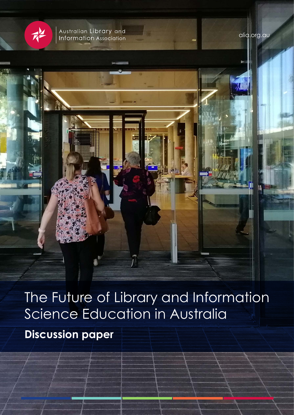

Australian Library and<br>Information Association

alia.org.au

The Future of Library and Information Science Education in Australia **Discussion paper**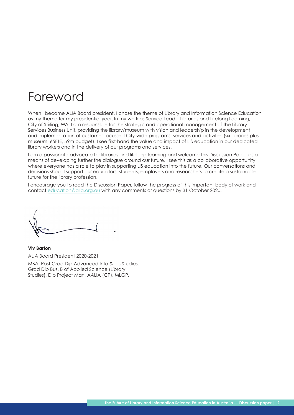# Foreword

When I became ALIA Board president, I chose the theme of Library and Information Science Education as my theme for my presidential year. In my work as Service Lead – Libraries and Lifelong Learning, City of Stirling, WA, I am responsible for the strategic and operational management of the Library Services Business Unit, providing the library/museum with vision and leadership in the development and implementation of customer focussed City-wide programs, services and activities (six libraries plus museum, 65FTE, \$9m budget). I see first-hand the value and impact of LIS education in our dedicated library workers and in the delivery of our programs and services.

I am a passionate advocate for libraries and lifelong learning and welcome this Discussion Paper as a means of developing further the dialogue around our future. I see this as a collaborative opportunity where everyone has a role to play in supporting LIS education into the future. Our conversations and decisions should support our educators, students, employers and researchers to create a sustainable future for the library profession.

I encourage you to read the Discussion Paper, follow the progress of this important body of work and contact [education@alia.org.au](mailto:education%40alia.org.au?subject=) with any comments or questions by 31 October 2020.

**Viv Barton** ALIA Board President 2020-2021 MBA, Post Grad Dip Advanced Info & Lib Studies, Grad Dip Bus, B of Applied Science (Library Studies), Dip Project Man, AALIA (CP), MLGP.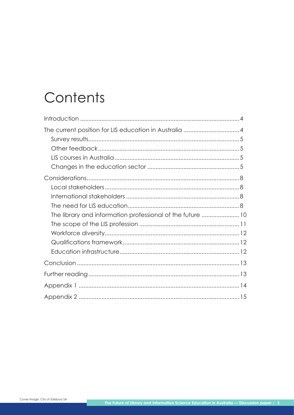# Contents

| The library and information professional of the future 10 |  |
|-----------------------------------------------------------|--|
|                                                           |  |
|                                                           |  |
|                                                           |  |
|                                                           |  |
|                                                           |  |
|                                                           |  |
|                                                           |  |
|                                                           |  |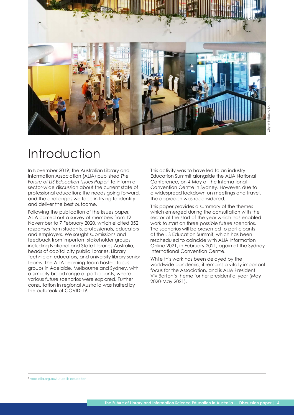<span id="page-3-0"></span>

# Introduction

In November 2019, the Australian Library and Information Association (ALIA) published *The Future of LIS Education Issues Paper*<sup>1</sup> to inform a sector-wide discussion about the current state of professional education: the needs going forward, and the challenges we face in trying to identify and deliver the best outcome.

Following the publication of the issues paper, ALIA carried out a survey of members from 12 November to 7 February 2020, which elicited 352 responses from students, professionals, educators and employers. We sought submissions and feedback from important stakeholder groups including National and State Libraries Australia, heads of capital city public libraries, Library Technician educators, and university library senior teams. The ALIA Learning Team hosted focus groups in Adelaide, Melbourne and Sydney, with a similarly broad range of participants, where various future scenarios were explored. Further consultation in regional Australia was halted by the outbreak of COVID-19.

This activity was to have led to an industry Education Summit alongside the ALIA National Conference, on 4 May at the International Convention Centre in Sydney. However, due to a widespread lockdown on meetings and travel, the approach was reconsidered.

This paper provides a summary of the themes which emerged during the consultation with the sector at the start of the year which has enabled work to start on three possible future scenarios. The scenarios will be presented to participants at the LIS Education Summit, which has been rescheduled to coincide with ALIA Information Online 2021, in February 2021, again at the Sydney International Convention Centre.

While this work has been delayed by the worldwide pandemic, it remains a vitally important focus for the Association, and is ALIA President Viv Barton's theme for her presidential year (May 2020-May 2021).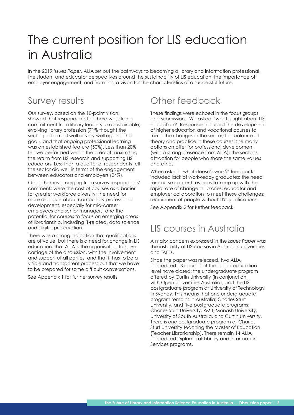# <span id="page-4-0"></span>The current position for LIS education in Australia

In the 2019 *Issues Paper,* ALIA set out the pathways to becoming a library and information professional, the student and educator perspectives around the sustainability of LIS education, the importance of employer engagement, and from this, a vision for the characteristics of a successful future.

### Survey results

Our survey, based on the 10-point vision, showed that respondents felt there was strong commitment from library leaders to a sustainable, evolving library profession (71% thought the sector performed well or very well against this goal), and that ongoing professional learning was an established feature (50%). Less than 20% felt we performed well in the area of maximising the return from LIS research and supporting LIS educators. Less than a quarter of respondents felt the sector did well in terms of the engagement between educators and employers (24%).

Other themes emerging from survey respondents' comments were the cost of courses as a barrier for greater workforce diversity; the need for more dialogue about compulsory professional development, especially for mid-career employees and senior managers; and the potential for courses to focus on emerging areas of librarianship, including IT-related, data science and digital preservation.

There was a strong indication that qualifications are of value, but there is a need for change in LIS education; that ALIA is the organisation to have carriage of the discussion, with the involvement and support of all parties; and that it has to be a visible and transparent process but that we have to be prepared for some difficult conversations.

See Appendix 1 for further survey results.

### Other feedback

These findings were echoed in the focus groups and submissions. We asked, 'what is right about LIS education?' Responses included the development of higher education and vocational courses to mirror the changes in the sector; the balance of theory and practice in these courses; the many options on offer for professional development (with a strong presence from ALIA); the sector's attraction for people who share the same values and ethos.

When asked, 'what doesn't work?' feedback included lack of work-ready graduates; the need for course content revisions to keep up with the rapid rate of change in libraries; educator and employer collaboration to meet these challenges; recruitment of people without LIS qualifications.

See Appendix 2 for further feedback.

## LIS courses in Australia

A major concern expressed in the *Issues Paper* was the instability of LIS courses in Australian universities and TAFEs.

Since the paper was released, two ALIA accredited LIS courses at the higher education level have closed: the undergraduate program offered by Curtin University (in conjunction with Open Universities Australia), and the LIS postgraduate program at University of Technology in Sydney. This means that one undergraduate program remains in Australia; Charles Sturt University, and five postgraduate programs: Charles Sturt University, RMIT, Monash University, University of South Australia, and Curtin University. There is one postgraduate program at Charles Sturt University teaching the Master of Education (Teacher Librarianship). There remain 14 ALIA accredited Diploma of Library and Information Services programs.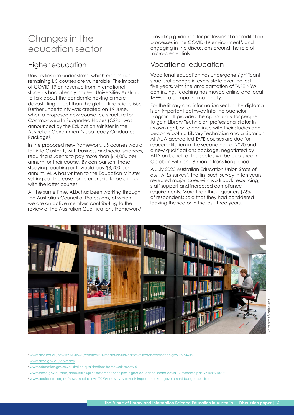## Changes in the education sector

### Higher education

Universities are under stress, which means our remaining LIS courses are vulnerable. The impact of COVID-19 on revenue from international students had already caused Universities Australia to talk about the pandemic having a more devastating effect than the global financial crisis2 . Further uncertainty was created on 19 June, when a proposed new course fee structure for Commonwealth Supported Places (CSPs) was announced by the Education Minister in the Australian Government's Job-ready Graduates Package<sup>3</sup>.

In the proposed new framework, LIS courses would fall into Cluster 1, with business and social sciences, requiring students to pay more than \$14,000 per annum for their course. By comparison, those studying teaching or IT would pay \$3,700 per annum. ALIA has written to the Education Minister setting out the case for librarianship to be aligned with the latter courses.

At the same time, ALIA has been working through the Australian Council of Professions, of which we are an active member, contributing to the review of the Australian Qualifications Framework<sup>4</sup>;

providing guidance for professional accreditation processes in the COVID-19 environment<sup>5</sup>, and engaging in the discussions around the role of micro-credentials.

### Vocational education

Vocational education has undergone significant structural change in every state over the last five years, with the amalgamation of TAFE NSW continuing. Teaching has moved online and local TAFEs are competing nationally.

For the library and information sector, the diploma is an important pathway into the bachelor program. It provides the opportunity for people to gain Library Technician professional status in its own right, or to continue with their studies and become both a Library Technician and a Librarian. All ALIA accredited TAFE courses are due for reaccreditation in the second half of 2020 and a new qualifications package, negotiated by ALIA on behalf of the sector, will be published in October, with an 18-month transition period.

A July 2020 Australian Education Union *State of*  our TAFEs survey<sup>6</sup>, the first such survey in ten years revealed major issues with workload, resourcing, staff support and increased compliance requirements. More than three quarters (76%) of respondents said that they had considered leaving the sector in the last three years.



<sup>2</sup> [www.abc.net.au/news/2020-05-20/coronavirus-impact-on-universities-research-worse-than-gfc/12264606](https://www.abc.net.au/news/2020-05-20/coronavirus-impact-on-universities-research-worse-than-gfc/12264606)

<sup>3</sup> [www.dese.gov.au/job-ready](https://www.dese.gov.au/job-ready)

<sup>4</sup> [www.education.gov.au/australian-qualifications-framework-review-0](https://www.education.gov.au/australian-qualifications-framework-review-0)

<sup>6</sup> [www.aeufederal.org.au/news-media/news/2020/aeu-survey-reveals-impact-morrison-government-budget-cuts-tafe](http://www.aeufederal.org.au/news-media/news/2020/aeu-survey-reveals-impact-morrison-government-budget-cuts-tafe)

<sup>5</sup> [www.teqsa.gov.au/sites/default/files/joint-statement-principles-higher-education-sector-covid-19-response.pdf?v=1588910909](https://www.teqsa.gov.au/sites/default/files/joint-statement-principles-higher-education-sector-covid-19-response.pdf?v=1588910909)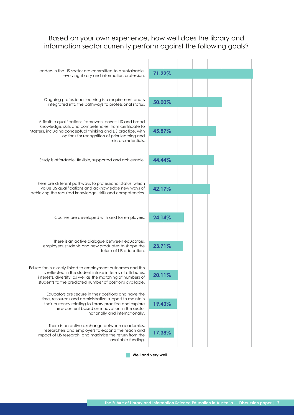#### Based on your own experience, how well does the library and information sector currently perform against the following goals?



**Well and very well**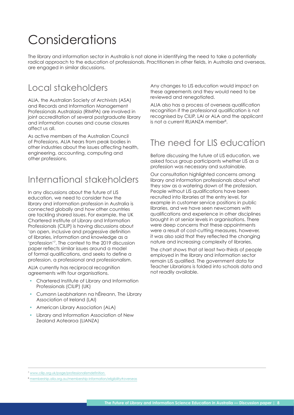# <span id="page-7-0"></span>Considerations

The library and information sector in Australia is not alone in identifying the need to take a potentially radical approach to the education of professionals. Practitioners in other fields, in Australia and overseas, are engaged in similar discussions.

## Local stakeholders

ALIA, the Australian Society of Archivists (ASA) and Records and Information Management Professionals Australasia (RIMPA) are involved in joint accreditation of several postgraduate library and information courses and course closures affect us all.

As active members of the Australian Council of Professions, ALIA hears from peak bodies in other industries about the issues affecting health, engineering, accounting, computing and other professions.

## International stakeholders

In any discussions about the future of LIS education, we need to consider how the library and information profession in Australia is connected globally and how other countries are tackling shared issues. For example, the UK Chartered Institute of Library and Information Professionals (CILIP) is having discussions about 'an open, inclusive and progressive definition of libraries, information and knowledge as a 'profession'7 . The context to the 2019 discussion paper reflects similar issues around a model of formal qualifications, and seeks to define a profession, a professional and professionalism.

ALIA currently has reciprocal recognition agreements with four organisations.

- Chartered Institute of Library and Information Professionals (CILIP) (UK)
- Cumann Leabharlann na hÉireann, The Library Association of Ireland (LAI)
- American Library Association (ALA)
- Library and Information Association of New Zealand Aotearoa (LIANZA)

Any changes to LIS education would impact on these agreements and they would need to be reviewed and renegotiated.

ALIA also has a process of overseas qualification recognition if the professional qualification is not recognised by CILIP, LAI or ALA and the applicant is not a current RLIANZA member8 .

## The need for LIS education

Before discussing the future of LIS education, we asked focus group participants whether LIS as a profession was necessary and sustainable.

Our consultation highlighted concerns among library and information professionals about what they saw as a watering down of the profession. People without LIS qualifications have been recruited into libraries at the entry level, for example in customer service positions in public libraries, and we have seen newcomers with qualifications and experience in other disciplines brought in at senior levels in organisations. There were deep concerns that these appointments were a result of cost-cutting measures, however, it was also said that they reflected the changing nature and increasing complexity of libraries.

The chart shows that at least two-thirds of people employed in the library and information sector remain LIS qualified. The government data for Teacher Librarians is folded into schools data and not readily available.

<sup>7</sup> [www.cilip.org.uk/page/professionalismdefinition](https://www.cilip.org.uk/page/professionalismdefinition) 

<sup>8</sup> [membership.alia.org.au/membership-information/eligibility#overseas](https://membership.alia.org.au/membership-information/eligibility#overseas)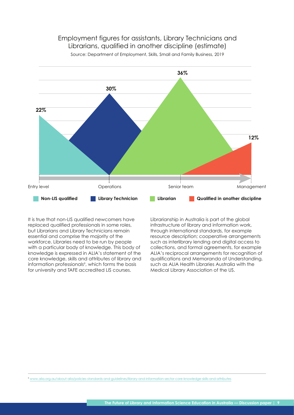

#### Employment figures for assistants, Library Technicians and Librarians, qualified in another discipline (estimate)

Source: Department of Employment, Skills, Small and Family Business, 2019

It is true that non-LIS qualified newcomers have replaced qualified professionals in some roles, but Librarians and Library Technicians remain essential and comprise the majority of the workforce. Libraries need to be run by people with a particular body of knowledge. This body of knowledge is expressed in ALIA's statement of the core knowledge, skills and attributes of library and information professionals<sup>9</sup>, which forms the basis for university and TAFE accredited LIS courses.

Librarianship in Australia is part of the global infrastructure of library and information work, through international standards, for example resource description; cooperative arrangements such as interlibrary lending and digital access to collections, and formal agreements, for example ALIA's reciprocal arrangements for recognition of qualifications and Memoranda of Understanding, such as ALIA Health Libraries Australia with the Medical Library Association of the US.

<sup>9</sup> [www.alia.org.au/about-alia/policies-standards-and-guidelines/library-and-information-sector-core-knowledge-skills-and-attributes](http://www.alia.org.au/about-alia/policies-standards-and-guidelines/library-and-information-sector-core-knowledge-skills-and-attributes)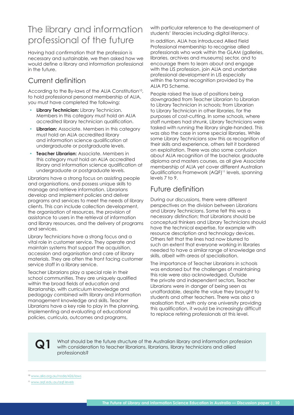## <span id="page-9-0"></span>The library and information professional of the future

Having had confirmation that the profession is necessary and sustainable, we then asked how we would define a library and information professional in the future.

### Current definition

According to the By-laws of the ALIA Constitution<sup>10</sup>, to hold professional personal membership of ALIA, you must have completed the following:

- **Library Technician:** Library Technician. Members in this category must hold an ALIA accredited library technician qualification.
- **Librarian:** Associate. Members in this category must hold an ALIA accredited library and information science qualification at undergraduate or postgraduate levels.
- **Teacher Librarian:** Associate. Members in this category must hold an ALIA accredited library and information science qualification at undergraduate or postgraduate levels.

Librarians have a strong focus on assisting people and organisations, and possess unique skills to manage and retrieve information. Librarians develop and implement policies and deliver programs and services to meet the needs of library clients. This can include collection development, the organisation of resources, the provision of assistance to users in the retrieval of information and library resources, and the delivery of programs and services.

Library Technicians have a strong focus and a vital role in customer service. They operate and maintain systems that support the acquisition, accession and organisation and care of library materials. They are often the front facing customer service staff in a library service.

Teacher Librarians play a special role in their school communities. They are uniquely qualified within the broad fields of education and librarianship, with curriculum knowledge and pedagogy combined with library and information management knowledge and skills. Teacher Librarians have a key role to play in the planning, implementing and evaluating of educational policies, curricula, outcomes and programs,

with particular reference to the development of students' literacies including digital literacy.

In addition, ALIA has introduced Allied Field Professional membership to recognise allied professionals who work within the GLAM (galleries, libraries, archives and museums) sector, and to encourage them to learn about and engage with the LIS profession, join ALIA and undertake professional development in LIS especially within the formal recognition provided by the ALIA PD Scheme.

People raised the issue of positions being downgraded from Teacher Librarian to Librarian to Library Technician in schools; from Librarian to Library Technician in other libraries, for the purposes of cost-cutting. In some schools, where staff numbers had shrunk, Library Technicians were tasked with running the library single-handed. This was also the case in some special libraries. While some Library Technicians saw this as recognition of their skills and experience, others felt it bordered on exploitation. There was also some confusion about ALIA recognition of the bachelor, graduate diploma and masters courses, as all give Associate membership of ALIA yet cover different Australian Qualifications Framework (AQF)11 levels, spanning levels 7 to 9.

### Future definition

During our discussions, there were different perspectives on the division between Librarians and Library Technicians. Some felt this was a necessary distinction; that Librarians should be conceptual thinkers and Library Technicians should have the technical expertise, for example with resource description and technology devices. Others felt that the lines had now blurred to such an extent that everyone working in libraries needed to have a similar range of knowledge and skills, albeit with areas of specialisation.

The importance of Teacher Librarians in schools was endorsed but the challenges of maintaining this role were also acknowledged. Outside the private and independent sectors, Teacher Librarians were in danger of being seen as unaffordable, despite the value they brought to students and other teachers. There was also a realisation that, with only one university providing this qualification, it would be increasingly difficult to replace retiring professionals at this level.

**Q1**

What should be the future structure of the Australian library and information profession with consideration to teacher librarians, librarians, library technicians and allied professionals?

<sup>10</sup> [www.alia.org.au/node/426/laws](http://www.alia.org.au/node/426/laws)

<sup>11</sup> [www.aqf.edu.au/aqf-levels](http://www.aqf.edu.au/aqf-levels)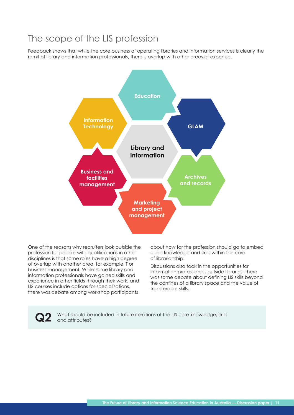### <span id="page-10-0"></span>The scope of the LIS profession

Feedback shows that while the core business of operating libraries and information services is clearly the remit of library and information professionals, there is overlap with other areas of expertise.



One of the reasons why recruiters look outside the profession for people with qualifications in other disciplines is that some roles have a high degree of overlap with another area, for example IT or business management. While some library and information professionals have gained skills and experience in other fields through their work, and LIS courses include options for specialisations, there was debate among workshop participants

about how far the profession should go to embed allied knowledge and skills within the core of librarianship.

Discussions also took in the opportunities for information professionals outside libraries. There was some debate about defining LIS skills beyond the confines of a library space and the value of transferable skills.

What should be included in future iterations of the LIS core knowledge, skills and attributes?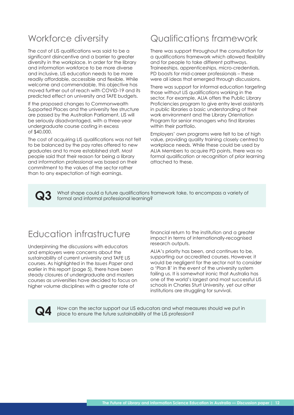## <span id="page-11-0"></span>Workforce diversity

The cost of LIS qualifications was said to be a significant disincentive and a barrier to greater diversity in the workplace. In order for the library and information workforce to be more diverse and inclusive, LIS education needs to be more readily affordable, accessible and flexible. While welcome and commendable, this objective has moved further out of reach with COVID-19 and its predicted effect on university and TAFE budgets.

If the proposed changes to Commonwealth Supported Places and the university fee structure are passed by the Australian Parliament, LIS will be seriously disadvantaged, with a three-year undergraduate course costing in excess of \$40,000.

The cost of acquiring LIS qualifications was not felt to be balanced by the pay rates offered to new graduates and to more established staff. Most people said that their reason for being a library and information professional was based on their commitment to the values of the sector rather than to any expectation of high earnings.

## Qualifications framework

There was support throughout the consultation for a qualifications framework which allowed flexibility and for people to take different pathways. Traineeships, apprenticeships, micro-credentials, PD boosts for mid-career professionals – these were all ideas that emerged through discussions.

There was support for informal education targeting those without LIS qualifications working in the sector. For example, ALIA offers the Public Library Proficiencies program to give entry level assistants in public libraries a basic understanding of their work environment and the Library Orientation Program for senior managers who find libraries within their portfolio.

Employers' own programs were felt to be of high value, providing quality training closely centred to workplace needs. While these could be used by ALIA Members to acquire PD points, there was no formal qualification or recognition of prior learning attached to these.

What shape could a future qualifications framework take, to encompass a variety of formal and informal professional learning? **Q3**

## Education infrastructure

Underpinning the discussions with educators and employers were concerns about the sustainability of current university and TAFE LIS courses. As highlighted in the *Issues Paper* and earlier in this report (page 5), there have been steady closures of undergraduate and masters courses as universities have decided to focus on higher volume disciplines with a greater rate of

financial return to the institution and a greater impact in terms of internationally-recognised research outputs.

ALIA's priority has been, and continues to be, supporting our accredited courses. However, it would be negligent for the sector not to consider a 'Plan B' in the event of the university system failing us. It is somewhat ironic that Australia has one of the world's largest and most successful LIS schools in Charles Sturt University, yet our other institutions are struggling for survival.

**Q4**

How can the sector support our LIS educators and what measures should we put in place to ensure the future sustainability of the LIS profession?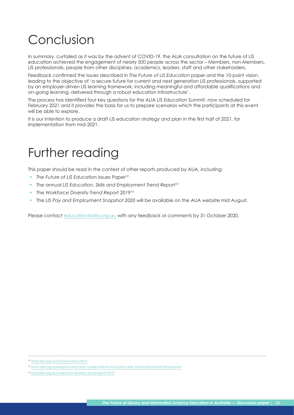# <span id="page-12-0"></span>Conclusion

In summary, curtailed as it was by the advent of COVID-19, the ALIA consultation on the future of LIS education achieved the engagement of nearly 500 people across the sector – Members, non-Members, LIS professionals, people from other disciplines, academics, leaders, staff and other stakeholders.

Feedback confirmed the issues described in *The Future of LIS Education* paper and the 10-point vision, leading to the objective of 'a secure future for current and next generation LIS professionals, supported by an employer-driven LIS learning framework, including meaningful and affordable qualifications and on-going learning, delivered through a robust education infrastructure'.

The process has identified four key questions for the ALIA LIS Education Summit, now scheduled for February 2021 and it provides the basis for us to prepare scenarios which the participants at this event will be able to explore.

It is our intention to produce a draft LIS education strategy and plan in the first half of 2021, for implementation from mid-2021.

# Further reading

This paper should be read in the context of other reports produced by ALIA, including:

- The Future of LIS Education Issues Paper<sup>12</sup>
- The annual *LIS Education, Skills and Employment Trend Report*<sup>13</sup>
- The *Workforce Diversity Trend Report 2019*<sup>14</sup>
- The *LIS Pay and Employment Snapshot 2020* will be available on the ALIA website mid August.

Please contact [education@alia.org.au](mailto:education%40alia.org.au?subject=) with any feedback or comments by 31 October 2020.

<sup>12</sup> [read.alia.org.au/future-lis-education](http://read.alia.org.au/future-lis-education)

<sup>13</sup> [www.alia.org.au/employment-and-careers/alia-lis-education-skills-and-employment-trend-report](http://www.alia.org.au/employment-and-careers/alia-lis-education-skills-and-employment-trend-report)

<sup>14</sup> [read.alia.org.au/workforce-diversity-trend-report-2019](http://read.alia.org.au/workforce-diversity-trend-report-2019)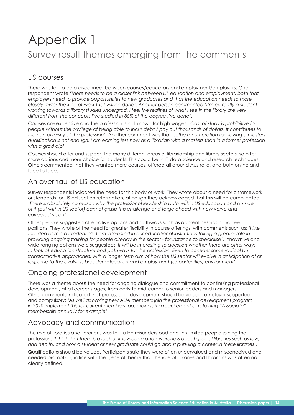# <span id="page-13-0"></span>Appendix 1 Survey result themes emerging from the comments

### LIS courses

There was felt to be a disconnect between courses/educators and employment/employers. One respondent wrote *'There needs to be a closer link between LIS education and employment, both that employers need to provide opportunities to new graduates and that the education needs to more closely mirror the kind of work that will be done'. Another person commented 'I'm currently a student working towards a library studies undergrad. I feel the realities of what I see in the library are very different from the concepts I've studied in 80% of the degree I've done'*.

Courses are expensive and the profession is not known for high wages. *'Cost of study is prohibitive for people without the privilege of being able to incur debt / pay out thousands of dollars. It contributes to the non-diversity of the profession'*. Another comment was that *'…the renumeration for having a masters qualification is not enough. I am earning less now as a librarian with a masters than in a former profession with a grad dip'*.

Courses should offer and support the many different areas of librarianship and library sectors, so offer more options and more choice for students. This could be in IT, data science and research techniques. Others commented that they wanted more courses, offered all around Australia, and both online and face to face.

### An overhaul of LIS education

Survey respondents indicated the need for this body of work. They wrote about a need for a framework or standards for LIS education reformation, although they acknowledged that this will be complicated: *'There is absolutely no reason why the professional leadership both within LIS education and outside of it (but within LIS sector) cannot grasp this challenge and forge ahead with new verve and corrected vision'*.

Other people suggested alternative options and pathways such as apprenticeships or trainee positions. They wrote of the need for greater flexibility in course offerings, with comments such as: *'I like the idea of micro credentials. I am interested in our educational institutions taking a greater role in providing ongoing training for people already in the sector - for instance to specialise'*. Innovative and wide-ranging options were suggested: *'It will be interesting to question whether there are other ways to look at education structure and pathways for the profession. Even to consider some radical but transformative approaches, with a longer term aim of how the LIS sector will evolve in anticipation of or response to the evolving broader education and employment (opportunities) environment'*.

### Ongoing professional development

There was a theme about the need for ongoing dialogue and commitment to continuing professional development, at all career stages, from early to mid-career to senior leaders and managers. Other comments indicated that professional development should be valued, employer supported, and compulsory: *'As well as having new ALIA members join the professional development program in 2020 implement this for current members too, making it a requirement of retaining "Associate" membership annually for example'*.

#### Advocacy and communication

The role of libraries and librarians was felt to be misunderstood and this limited people joining the profession. *'I think that there is a lack of knowledge and awareness about special libraries such as law, and health, and how a student or new graduate could go about pursuing a career in these libraries'*.

Qualifications should be valued. Participants said they were often undervalued and misconceived and needed promotion, in line with the general theme that the role of libraries and librarians was often not clearly defined.